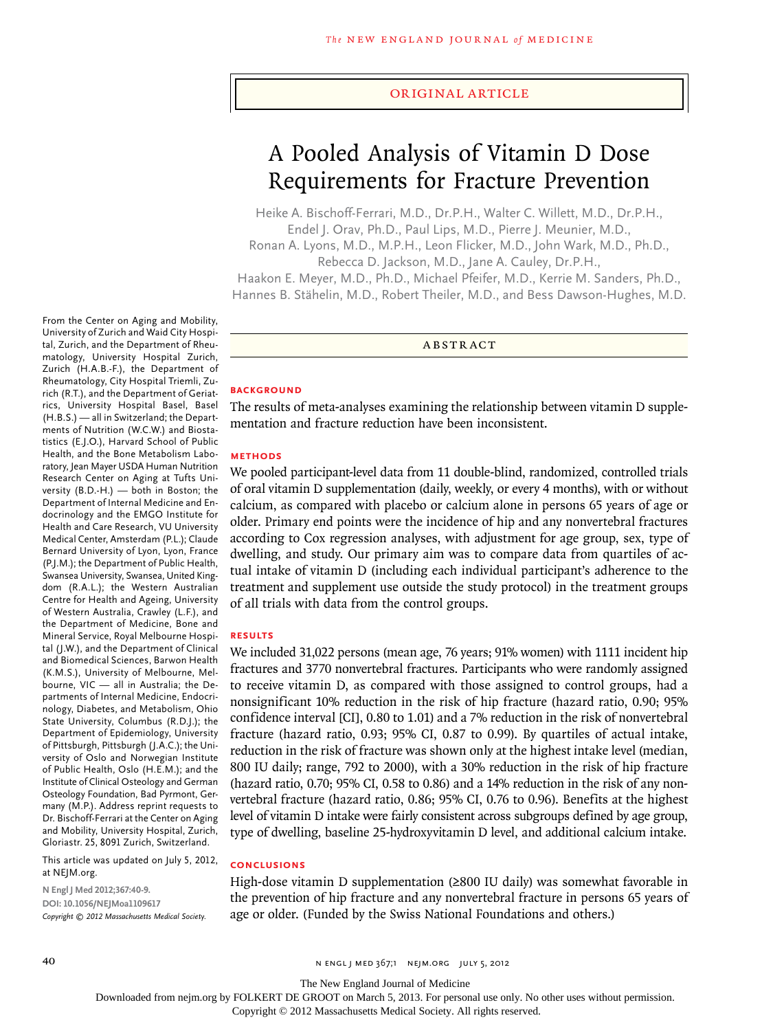#### original article

# A Pooled Analysis of Vitamin D Dose Requirements for Fracture Prevention

Heike A. Bischoff-Ferrari, M.D., Dr.P.H., Walter C. Willett, M.D., Dr.P.H., Endel J. Orav, Ph.D., Paul Lips, M.D., Pierre J. Meunier, M.D., Ronan A. Lyons, M.D., M.P.H., Leon Flicker, M.D., John Wark, M.D., Ph.D.,

Rebecca D. Jackson, M.D., Jane A. Cauley, Dr.P.H.,

Haakon E. Meyer, M.D., Ph.D., Michael Pfeifer, M.D., Kerrie M. Sanders, Ph.D., Hannes B. Stähelin, M.D., Robert Theiler, M.D., and Bess Dawson-Hughes, M.D.

A BSTR ACT

#### **BACKGROUND**

The results of meta-analyses examining the relationship between vitamin D supplementation and fracture reduction have been inconsistent.

### **METHODS**

We pooled participant-level data from 11 double-blind, randomized, controlled trials of oral vitamin D supplementation (daily, weekly, or every 4 months), with or without calcium, as compared with placebo or calcium alone in persons 65 years of age or older. Primary end points were the incidence of hip and any nonvertebral fractures according to Cox regression analyses, with adjustment for age group, sex, type of dwelling, and study. Our primary aim was to compare data from quartiles of actual intake of vitamin D (including each individual participant's adherence to the treatment and supplement use outside the study protocol) in the treatment groups of all trials with data from the control groups.

### **RESULTS**

We included 31,022 persons (mean age, 76 years; 91% women) with 1111 incident hip fractures and 3770 nonvertebral fractures. Participants who were randomly assigned to receive vitamin D, as compared with those assigned to control groups, had a nonsignificant 10% reduction in the risk of hip fracture (hazard ratio, 0.90; 95% confidence interval [CI], 0.80 to 1.01) and a 7% reduction in the risk of nonvertebral fracture (hazard ratio, 0.93; 95% CI, 0.87 to 0.99). By quartiles of actual intake, reduction in the risk of fracture was shown only at the highest intake level (median, 800 IU daily; range, 792 to 2000), with a 30% reduction in the risk of hip fracture (hazard ratio, 0.70; 95% CI, 0.58 to 0.86) and a 14% reduction in the risk of any nonvertebral fracture (hazard ratio, 0.86; 95% CI, 0.76 to 0.96). Benefits at the highest level of vitamin D intake were fairly consistent across subgroups defined by age group, type of dwelling, baseline 25-hydroxyvitamin D level, and additional calcium intake.

#### **CONCLUSIONS**

High-dose vitamin D supplementation (≥800 IU daily) was somewhat favorable in the prevention of hip fracture and any nonvertebral fracture in persons 65 years of age or older. (Funded by the Swiss National Foundations and others.)

From the Center on Aging and Mobility, University of Zurich and Waid City Hospital, Zurich, and the Department of Rheumatology, University Hospital Zurich, Zurich (H.A.B.-F.), the Department of Rheumatology, City Hospital Triemli, Zurich (R.T.), and the Department of Geriatrics, University Hospital Basel, Basel (H.B.S.) — all in Switzerland; the Departments of Nutrition (W.C.W.) and Biostatistics (E.J.O.), Harvard School of Public Health, and the Bone Metabolism Laboratory, Jean Mayer USDA Human Nutrition Research Center on Aging at Tufts University (B.D.-H.) — both in Boston; the Department of Internal Medicine and Endocrinology and the EMGO Institute for Health and Care Research, VU University Medical Center, Amsterdam (P.L.); Claude Bernard University of Lyon, Lyon, France (P.J.M.); the Department of Public Health, Swansea University, Swansea, United Kingdom (R.A.L.); the Western Australian Centre for Health and Ageing, University of Western Australia, Crawley (L.F.), and the Department of Medicine, Bone and Mineral Service, Royal Melbourne Hospital (J.W.), and the Department of Clinical and Biomedical Sciences, Barwon Health (K.M.S.), University of Melbourne, Melbourne, VIC — all in Australia; the Departments of Internal Medicine, Endocrinology, Diabetes, and Metabolism, Ohio State University, Columbus (R.D.J.); the Department of Epidemiology, University of Pittsburgh, Pittsburgh (J.A.C.); the University of Oslo and Norwegian Institute of Public Health, Oslo (H.E.M.); and the Institute of Clinical Osteology and German Osteology Foundation, Bad Pyrmont, Germany (M.P.). Address reprint requests to Dr. Bischoff-Ferrari at the Center on Aging and Mobility, University Hospital, Zurich, Gloriastr. 25, 8091 Zurich, Switzerland.

This article was updated on July 5, 2012, at NEJM.org.

**N Engl J Med 2012;367:40-9. DOI: 10.1056/NEJMoa1109617** *Copyright © 2012 Massachusetts Medical Society.*

The New England Journal of Medicine

Downloaded from nejm.org by FOLKERT DE GROOT on March 5, 2013. For personal use only. No other uses without permission.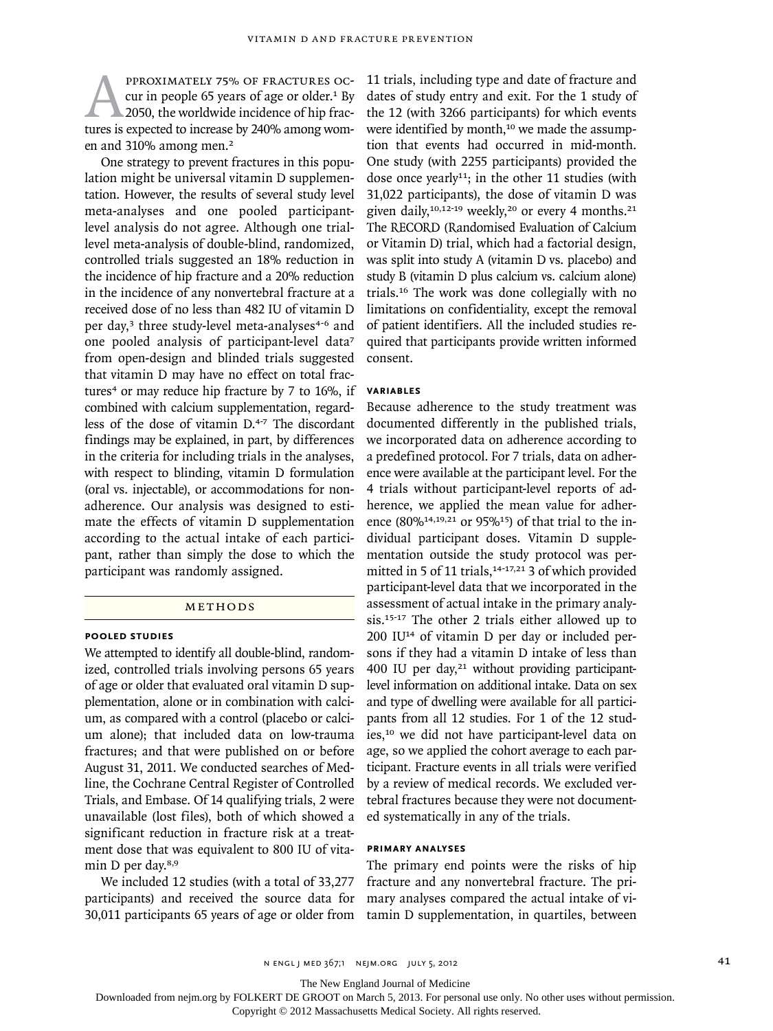PPROXIMATELY 75% OF FRACTURES OC-<br>cur in people 65 years of age or older.<sup>1</sup> By<br>2050, the worldwide incidence of hip frac-<br>tures is expected to increase by 240% among womcur in people 65 years of age or older.<sup>1</sup> By 2050, the worldwide incidence of hip fracen and 310% among men.<sup>2</sup>

One strategy to prevent fractures in this population might be universal vitamin D supplementation. However, the results of several study level meta-analyses and one pooled participantlevel analysis do not agree. Although one triallevel meta-analysis of double-blind, randomized, controlled trials suggested an 18% reduction in the incidence of hip fracture and a 20% reduction in the incidence of any nonvertebral fracture at a received dose of no less than 482 IU of vitamin D per day,<sup>3</sup> three study-level meta-analyses<sup>4-6</sup> and one pooled analysis of participant-level data<sup>7</sup> from open-design and blinded trials suggested that vitamin D may have no effect on total fractures<sup>4</sup> or may reduce hip fracture by  $7$  to  $16\%$ , if combined with calcium supplementation, regardless of the dose of vitamin D.4-7 The discordant findings may be explained, in part, by differences in the criteria for including trials in the analyses, with respect to blinding, vitamin D formulation (oral vs. injectable), or accommodations for nonadherence. Our analysis was designed to estimate the effects of vitamin D supplementation according to the actual intake of each participant, rather than simply the dose to which the participant was randomly assigned.

# **METHODS**

#### **POOLED STUDIES**

We attempted to identify all double-blind, randomized, controlled trials involving persons 65 years of age or older that evaluated oral vitamin D supplementation, alone or in combination with calcium, as compared with a control (placebo or calcium alone); that included data on low-trauma fractures; and that were published on or before August 31, 2011. We conducted searches of Medline, the Cochrane Central Register of Controlled Trials, and Embase. Of 14 qualifying trials, 2 were unavailable (lost files), both of which showed a significant reduction in fracture risk at a treatment dose that was equivalent to 800 IU of vitamin D per day.8,9

We included 12 studies (with a total of 33,277 participants) and received the source data for 30,011 participants 65 years of age or older from 11 trials, including type and date of fracture and dates of study entry and exit. For the 1 study of the 12 (with 3266 participants) for which events were identified by month,<sup>10</sup> we made the assumption that events had occurred in mid-month. One study (with 2255 participants) provided the dose once yearly<sup>11</sup>; in the other 11 studies (with 31,022 participants), the dose of vitamin D was given daily,<sup>10,12-19</sup> weekly,<sup>20</sup> or every 4 months.<sup>21</sup> The RECORD (Randomised Evaluation of Calcium or Vitamin D) trial, which had a factorial design, was split into study A (vitamin D vs. placebo) and study B (vitamin D plus calcium vs. calcium alone) trials.16 The work was done collegially with no limitations on confidentiality, except the removal of patient identifiers. All the included studies required that participants provide written informed consent.

### **VARIABLES**

Because adherence to the study treatment was documented differently in the published trials, we incorporated data on adherence according to a predefined protocol. For 7 trials, data on adherence were available at the participant level. For the 4 trials without participant-level reports of adherence, we applied the mean value for adherence (80%<sup>14,19,21</sup> or 95%<sup>15</sup>) of that trial to the individual participant doses. Vitamin D supplementation outside the study protocol was permitted in 5 of 11 trials, $14-17,21$  3 of which provided participant-level data that we incorporated in the assessment of actual intake in the primary analysis.15-17 The other 2 trials either allowed up to 200 IU14 of vitamin D per day or included persons if they had a vitamin D intake of less than 400 IU per day,<sup>21</sup> without providing participantlevel information on additional intake. Data on sex and type of dwelling were available for all participants from all 12 studies. For 1 of the 12 studies,10 we did not have participant-level data on age, so we applied the cohort average to each participant. Fracture events in all trials were verified by a review of medical records. We excluded vertebral fractures because they were not documented systematically in any of the trials.

## **PRIMARY ANALYSES**

The primary end points were the risks of hip fracture and any nonvertebral fracture. The primary analyses compared the actual intake of vitamin D supplementation, in quartiles, between

The New England Journal of Medicine

Downloaded from nejm.org by FOLKERT DE GROOT on March 5, 2013. For personal use only. No other uses without permission.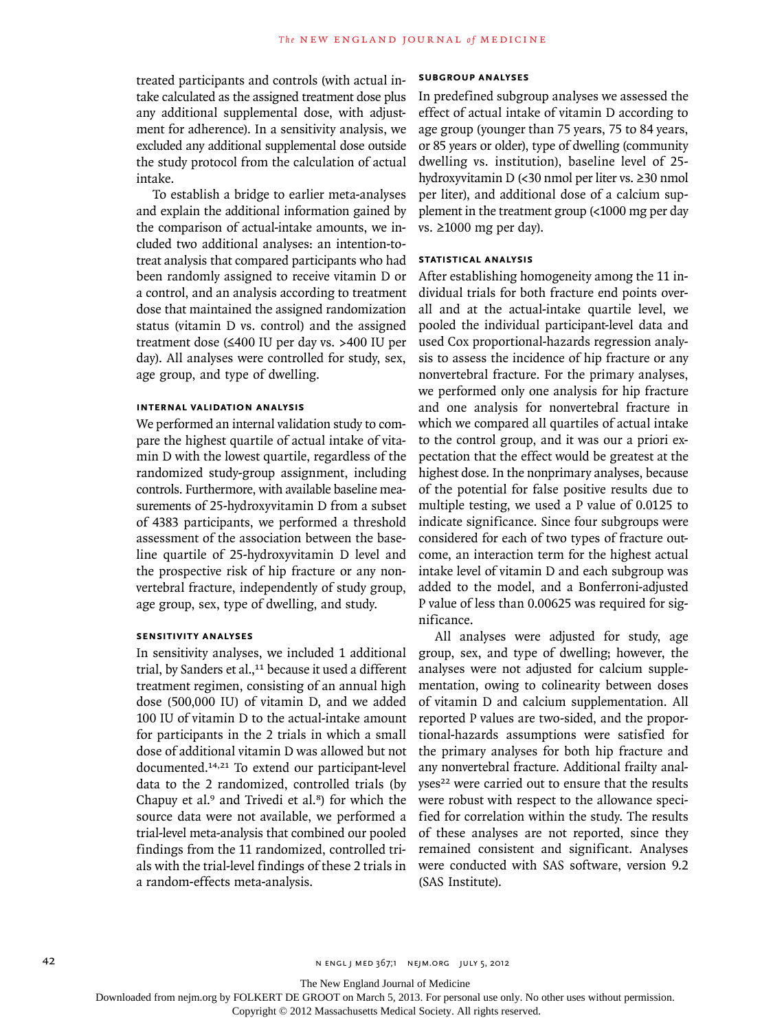treated participants and controls (with actual intake calculated as the assigned treatment dose plus any additional supplemental dose, with adjustment for adherence). In a sensitivity analysis, we excluded any additional supplemental dose outside the study protocol from the calculation of actual intake.

To establish a bridge to earlier meta-analyses and explain the additional information gained by the comparison of actual-intake amounts, we included two additional analyses: an intention-totreat analysis that compared participants who had been randomly assigned to receive vitamin D or a control, and an analysis according to treatment dose that maintained the assigned randomization status (vitamin D vs. control) and the assigned treatment dose (≤400 IU per day vs. >400 IU per day). All analyses were controlled for study, sex, age group, and type of dwelling.

### **INTERNAL VALIDATION ANALYSIS**

We performed an internal validation study to compare the highest quartile of actual intake of vitamin D with the lowest quartile, regardless of the randomized study-group assignment, including controls. Furthermore, with available baseline measurements of 25-hydroxyvitamin D from a subset of 4383 participants, we performed a threshold assessment of the association between the baseline quartile of 25-hydroxyvitamin D level and the prospective risk of hip fracture or any nonvertebral fracture, independently of study group, age group, sex, type of dwelling, and study.

### **SENSITIVITY ANALYSES**

In sensitivity analyses, we included 1 additional trial, by Sanders et al.,<sup>11</sup> because it used a different treatment regimen, consisting of an annual high dose (500,000 IU) of vitamin D, and we added 100 IU of vitamin D to the actual-intake amount for participants in the 2 trials in which a small dose of additional vitamin D was allowed but not documented.14,21 To extend our participant-level data to the 2 randomized, controlled trials (by Chapuy et al. $9$  and Trivedi et al. $8$ ) for which the source data were not available, we performed a trial-level meta-analysis that combined our pooled findings from the 11 randomized, controlled trials with the trial-level findings of these 2 trials in a random-effects meta-analysis.

# **SUBGROUP ANALYSES**

In predefined subgroup analyses we assessed the effect of actual intake of vitamin D according to age group (younger than 75 years, 75 to 84 years, or 85 years or older), type of dwelling (community dwelling vs. institution), baseline level of 25 hydroxyvitamin D (<30 nmol per liter vs. ≥30 nmol per liter), and additional dose of a calcium supplement in the treatment group (<1000 mg per day vs. ≥1000 mg per day).

# **STATISTICAL ANALYSIS**

After establishing homogeneity among the 11 individual trials for both fracture end points overall and at the actual-intake quartile level, we pooled the individual participant-level data and used Cox proportional-hazards regression analysis to assess the incidence of hip fracture or any nonvertebral fracture. For the primary analyses, we performed only one analysis for hip fracture and one analysis for nonvertebral fracture in which we compared all quartiles of actual intake to the control group, and it was our a priori expectation that the effect would be greatest at the highest dose. In the nonprimary analyses, because of the potential for false positive results due to multiple testing, we used a P value of 0.0125 to indicate significance. Since four subgroups were considered for each of two types of fracture outcome, an interaction term for the highest actual intake level of vitamin D and each subgroup was added to the model, and a Bonferroni-adjusted P value of less than 0.00625 was required for significance.

All analyses were adjusted for study, age group, sex, and type of dwelling; however, the analyses were not adjusted for calcium supplementation, owing to colinearity between doses of vitamin D and calcium supplementation. All reported P values are two-sided, and the proportional-hazards assumptions were satisfied for the primary analyses for both hip fracture and any nonvertebral fracture. Additional frailty analyses<sup>22</sup> were carried out to ensure that the results were robust with respect to the allowance specified for correlation within the study. The results of these analyses are not reported, since they remained consistent and significant. Analyses were conducted with SAS software, version 9.2 (SAS Institute).

The New England Journal of Medicine

Downloaded from nejm.org by FOLKERT DE GROOT on March 5, 2013. For personal use only. No other uses without permission.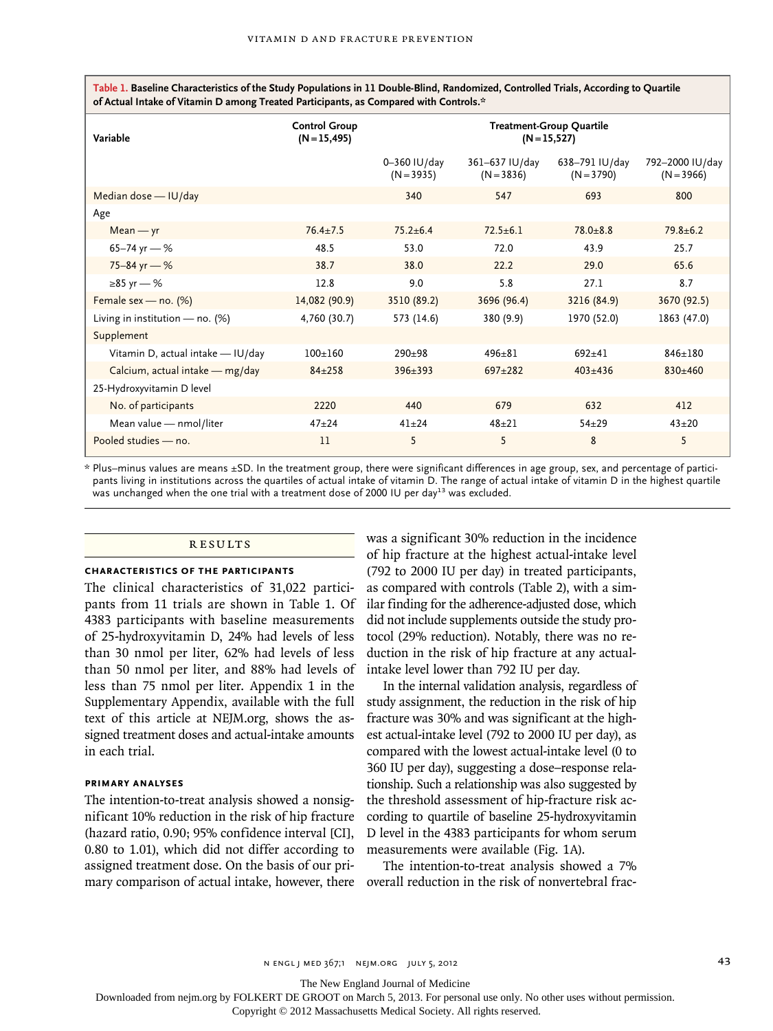**Table 1. Baseline Characteristics of the Study Populations in 11 Double-Blind, Randomized, Controlled Trials, According to Quartile of Actual Intake of Vitamin D among Treated Participants, as Compared with Controls.\***

| Variable                          | <b>Control Group</b><br>$(N = 15, 495)$ |                              |                                | <b>Treatment-Group Quartile</b><br>$(N = 15, 527)$ |                                 |
|-----------------------------------|-----------------------------------------|------------------------------|--------------------------------|----------------------------------------------------|---------------------------------|
|                                   |                                         | 0–360 IU/day<br>$(N = 3935)$ | 361–637 IU/day<br>$(N = 3836)$ | 638–791 IU/day<br>$(N = 3790)$                     | 792-2000 IU/day<br>$(N = 3966)$ |
| Median dose - IU/day              |                                         | 340                          | 547                            | 693                                                | 800                             |
| Age                               |                                         |                              |                                |                                                    |                                 |
| $Mean - yr$                       | $76.4 \pm 7.5$                          | $75.2 \pm 6.4$               | $72.5 \pm 6.1$                 | $78.0 \pm 8.8$                                     | $79.8 \pm 6.2$                  |
| 65-74 yr $-$ %                    | 48.5                                    | 53.0                         | 72.0                           | 43.9                                               | 25.7                            |
| $75 - 84$ yr – %                  | 38.7                                    | 38.0                         | 22.2                           | 29.0                                               | 65.6                            |
| $\geq 85$ yr – %                  | 12.8                                    | 9.0                          | 5.8                            | 27.1                                               | 8.7                             |
| Female sex - no. (%)              | 14,082 (90.9)                           | 3510 (89.2)                  | 3696 (96.4)                    | 3216 (84.9)                                        | 3670 (92.5)                     |
| Living in institution - no. (%)   | 4,760 (30.7)                            | 573 (14.6)                   | 380 (9.9)                      | 1970 (52.0)                                        | 1863 (47.0)                     |
| Supplement                        |                                         |                              |                                |                                                    |                                 |
| Vitamin D, actual intake - IU/day | $100+160$                               | $290+98$                     | $496 + 81$                     | $692 + 41$                                         | $846 + 180$                     |
| Calcium, actual intake - mg/day   | $84 \pm 258$                            | $396 \pm 393$                | $697 \pm 282$                  | $403 + 436$                                        | $830 \pm 460$                   |
| 25-Hydroxyvitamin D level         |                                         |                              |                                |                                                    |                                 |
| No. of participants               | 2220                                    | 440                          | 679                            | 632                                                | 412                             |
| Mean value - nmol/liter           | $47 + 24$                               | $41 + 24$                    | $48 + 21$                      | $54 + 29$                                          | $43 + 20$                       |
| Pooled studies - no.              | 11                                      | 5                            | 5                              | 8                                                  | 5                               |

\* Plus–minus values are means ±SD. In the treatment group, there were significant differences in age group, sex, and percentage of participants living in institutions across the quartiles of actual intake of vitamin D. The range of actual intake of vitamin D in the highest quartile was unchanged when the one trial with a treatment dose of 2000 IU per day $^{13}$  was excluded.

# **RESULTS**

#### **CHARACTERISTICS OF THE PARTICIPANTS**

The clinical characteristics of 31,022 participants from 11 trials are shown in Table 1. Of 4383 participants with baseline measurements of 25-hydroxyvitamin D, 24% had levels of less than 30 nmol per liter, 62% had levels of less than 50 nmol per liter, and 88% had levels of less than 75 nmol per liter. Appendix 1 in the Supplementary Appendix, available with the full text of this article at NEJM.org, shows the assigned treatment doses and actual-intake amounts in each trial.

#### **PRIMARY ANALYSES**

The intention-to-treat analysis showed a nonsignificant 10% reduction in the risk of hip fracture (hazard ratio, 0.90; 95% confidence interval [CI], 0.80 to 1.01), which did not differ according to assigned treatment dose. On the basis of our pri-

was a significant 30% reduction in the incidence of hip fracture at the highest actual-intake level (792 to 2000 IU per day) in treated participants, as compared with controls (Table 2), with a similar finding for the adherence-adjusted dose, which did not include supplements outside the study protocol (29% reduction). Notably, there was no reduction in the risk of hip fracture at any actualintake level lower than 792 IU per day.

In the internal validation analysis, regardless of study assignment, the reduction in the risk of hip fracture was 30% and was significant at the highest actual-intake level (792 to 2000 IU per day), as compared with the lowest actual-intake level (0 to 360 IU per day), suggesting a dose–response relationship. Such a relationship was also suggested by the threshold assessment of hip-fracture risk according to quartile of baseline 25-hydroxyvitamin D level in the 4383 participants for whom serum measurements were available (Fig. 1A).

mary comparison of actual intake, however, there overall reduction in the risk of nonvertebral frac-The intention-to-treat analysis showed a 7%

The New England Journal of Medicine

Downloaded from nejm.org by FOLKERT DE GROOT on March 5, 2013. For personal use only. No other uses without permission.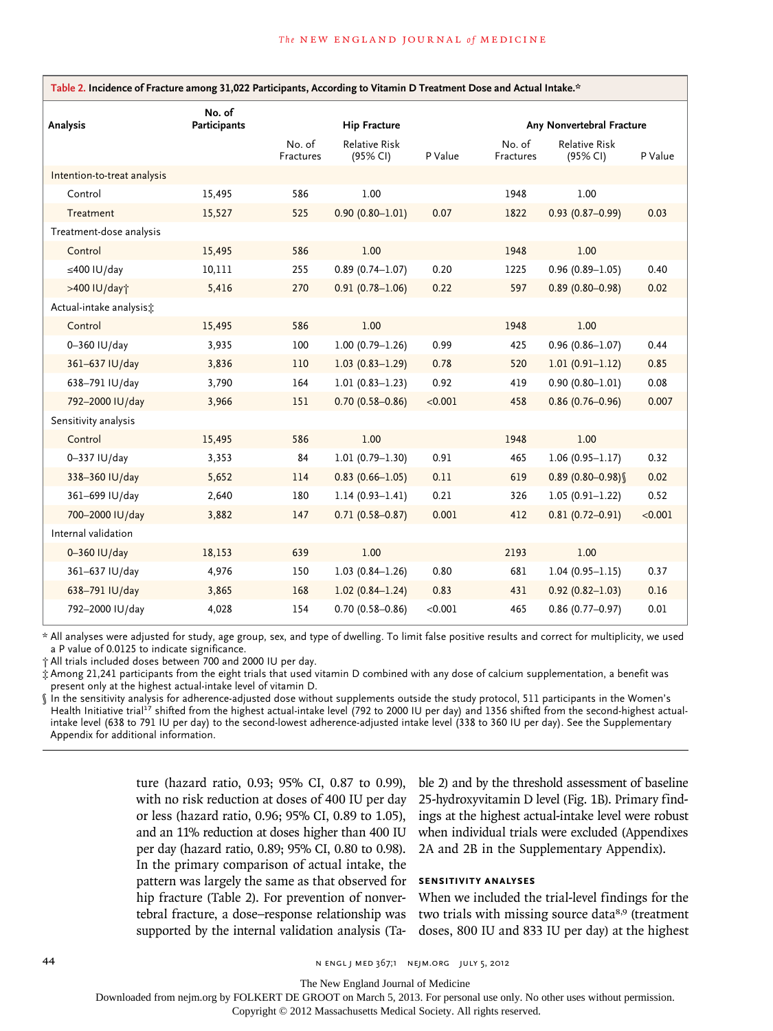| Table 2. Incidence of Fracture among 31,022 Participants, According to Vitamin D Treatment Dose and Actual Intake.* |                        |                     |                           |         |                     |                           |         |
|---------------------------------------------------------------------------------------------------------------------|------------------------|---------------------|---------------------------|---------|---------------------|---------------------------|---------|
| Analysis                                                                                                            | No. of<br>Participants |                     | <b>Hip Fracture</b>       |         |                     | Any Nonvertebral Fracture |         |
|                                                                                                                     |                        | No. of<br>Fractures | Relative Risk<br>(95% CI) | P Value | No. of<br>Fractures | Relative Risk<br>(95% CI) | P Value |
| Intention-to-treat analysis                                                                                         |                        |                     |                           |         |                     |                           |         |
| Control                                                                                                             | 15,495                 | 586                 | 1.00                      |         | 1948                | 1.00                      |         |
| Treatment                                                                                                           | 15,527                 | 525                 | $0.90(0.80 - 1.01)$       | 0.07    | 1822                | $0.93(0.87 - 0.99)$       | 0.03    |
| Treatment-dose analysis                                                                                             |                        |                     |                           |         |                     |                           |         |
| Control                                                                                                             | 15,495                 | 586                 | 1.00                      |         | 1948                | 1.00                      |         |
| $\leq$ 400 IU/day                                                                                                   | 10,111                 | 255                 | $0.89(0.74 - 1.07)$       | 0.20    | 1225                | $0.96(0.89 - 1.05)$       | 0.40    |
| >400 IU/day+                                                                                                        | 5,416                  | 270                 | $0.91(0.78 - 1.06)$       | 0.22    | 597                 | $0.89(0.80 - 0.98)$       | 0.02    |
| Actual-intake analysis:                                                                                             |                        |                     |                           |         |                     |                           |         |
| Control                                                                                                             | 15,495                 | 586                 | 1.00                      |         | 1948                | 1.00                      |         |
| 0-360 IU/day                                                                                                        | 3,935                  | 100                 | $1.00(0.79 - 1.26)$       | 0.99    | 425                 | $0.96(0.86 - 1.07)$       | 0.44    |
| 361-637 IU/day                                                                                                      | 3,836                  | 110                 | $1.03(0.83 - 1.29)$       | 0.78    | 520                 | $1.01(0.91 - 1.12)$       | 0.85    |
| 638-791 IU/day                                                                                                      | 3,790                  | 164                 | $1.01(0.83 - 1.23)$       | 0.92    | 419                 | $0.90(0.80 - 1.01)$       | 0.08    |
| 792-2000 IU/day                                                                                                     | 3,966                  | 151                 | $0.70(0.58 - 0.86)$       | < 0.001 | 458                 | $0.86(0.76 - 0.96)$       | 0.007   |
| Sensitivity analysis                                                                                                |                        |                     |                           |         |                     |                           |         |
| Control                                                                                                             | 15,495                 | 586                 | 1.00                      |         | 1948                | 1.00                      |         |
| 0-337 IU/day                                                                                                        | 3,353                  | 84                  | $1.01(0.79 - 1.30)$       | 0.91    | 465                 | $1.06(0.95 - 1.17)$       | 0.32    |
| 338-360 IU/day                                                                                                      | 5,652                  | 114                 | $0.83(0.66 - 1.05)$       | 0.11    | 619                 | $0.89(0.80 - 0.98)$       | 0.02    |
| 361-699 IU/day                                                                                                      | 2,640                  | 180                 | $1.14(0.93 - 1.41)$       | 0.21    | 326                 | $1.05(0.91 - 1.22)$       | 0.52    |
| 700-2000 IU/day                                                                                                     | 3,882                  | 147                 | $0.71(0.58 - 0.87)$       | 0.001   | 412                 | $0.81(0.72 - 0.91)$       | < 0.001 |
| Internal validation                                                                                                 |                        |                     |                           |         |                     |                           |         |
| 0-360 IU/day                                                                                                        | 18,153                 | 639                 | 1.00                      |         | 2193                | 1.00                      |         |
| 361-637 IU/day                                                                                                      | 4,976                  | 150                 | $1.03(0.84 - 1.26)$       | 0.80    | 681                 | $1.04(0.95 - 1.15)$       | 0.37    |
| 638-791 IU/day                                                                                                      | 3,865                  | 168                 | $1.02(0.84 - 1.24)$       | 0.83    | 431                 | $0.92(0.82 - 1.03)$       | 0.16    |
| 792-2000 IU/day                                                                                                     | 4,028                  | 154                 | $0.70(0.58 - 0.86)$       | < 0.001 | 465                 | $0.86(0.77-0.97)$         | 0.01    |

\* All analyses were adjusted for study, age group, sex, and type of dwelling. To limit false positive results and correct for multiplicity, we used a P value of 0.0125 to indicate significance.

† All trials included doses between 700 and 2000 IU per day.

‡ Among 21,241 participants from the eight trials that used vitamin D combined with any dose of calcium supplementation, a benefit was present only at the highest actual-intake level of vitamin D.

§ In the sensitivity analysis for adherence-adjusted dose without supplements outside the study protocol, 511 participants in the Women's Health Initiative trial<sup>17</sup> shifted from the highest actual-intake level (792 to 2000 IU per day) and 1356 shifted from the second-highest actualintake level (638 to 791 IU per day) to the second-lowest adherence-adjusted intake level (338 to 360 IU per day). See the Supplementary Appendix for additional information.

> ture (hazard ratio, 0.93; 95% CI, 0.87 to 0.99), with no risk reduction at doses of 400 IU per day or less (hazard ratio, 0.96; 95% CI, 0.89 to 1.05), and an 11% reduction at doses higher than 400 IU per day (hazard ratio, 0.89; 95% CI, 0.80 to 0.98). In the primary comparison of actual intake, the pattern was largely the same as that observed for hip fracture (Table 2). For prevention of nonvertebral fracture, a dose–response relationship was supported by the internal validation analysis (Ta

ble 2) and by the threshold assessment of baseline 25-hydroxyvitamin D level (Fig. 1B). Primary findings at the highest actual-intake level were robust when individual trials were excluded (Appendixes 2A and 2B in the Supplementary Appendix).

# **SENSITIVITY ANALYSES**

When we included the trial-level findings for the two trials with missing source data<sup>8,9</sup> (treatment doses, 800 IU and 833 IU per day) at the highest

44 **1 Engl july 5, 2012** n engl july 5, 2012 n engl july 5, 2012

The New England Journal of Medicine

Downloaded from nejm.org by FOLKERT DE GROOT on March 5, 2013. For personal use only. No other uses without permission.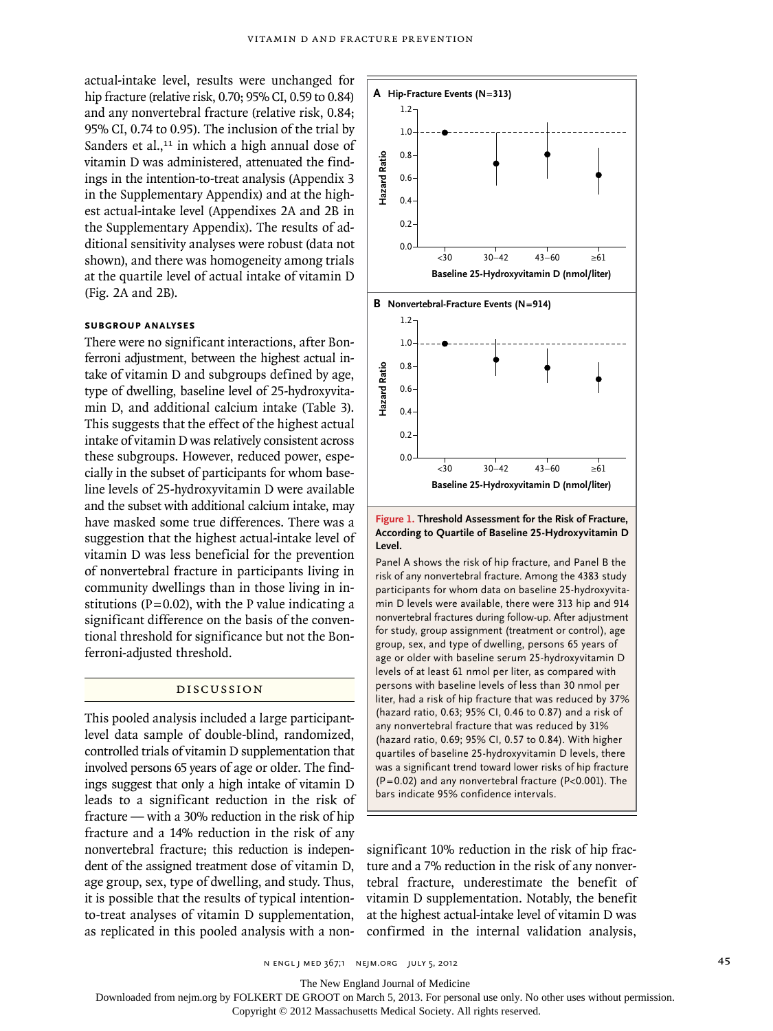actual-intake level, results were unchanged for hip fracture (relative risk, 0.70; 95% CI, 0.59 to 0.84) and any nonvertebral fracture (relative risk, 0.84; 95% CI, 0.74 to 0.95). The inclusion of the trial by Sanders et al., $11$  in which a high annual dose of vitamin D was administered, attenuated the findings in the intention-to-treat analysis (Appendix 3 in the Supplementary Appendix) and at the highest actual-intake level (Appendixes 2A and 2B in the Supplementary Appendix). The results of additional sensitivity analyses were robust (data not shown), and there was homogeneity among trials at the quartile level of actual intake of vitamin D (Fig. 2A and 2B).

# **SUBGROUP ANALYSES**

There were no significant interactions, after Bonferroni adjustment, between the highest actual intake of vitamin D and subgroups defined by age, type of dwelling, baseline level of 25-hydroxyvitamin D, and additional calcium intake (Table 3). This suggests that the effect of the highest actual intake of vitamin D was relatively consistent across these subgroups. However, reduced power, especially in the subset of participants for whom baseline levels of 25-hydroxyvitamin D were available and the subset with additional calcium intake, may have masked some true differences. There was a suggestion that the highest actual-intake level of vitamin D was less beneficial for the prevention of nonvertebral fracture in participants living in community dwellings than in those living in institutions ( $P=0.02$ ), with the P value indicating a significant difference on the basis of the conventional threshold for significance but not the Bonferroni-adjusted threshold.

# DISCUSSION

This pooled analysis included a large participantlevel data sample of double-blind, randomized, controlled trials of vitamin D supplementation that involved persons 65 years of age or older. The findings suggest that only a high intake of vitamin D leads to a significant reduction in the risk of fracture — with a 30% reduction in the risk of hip fracture and a 14% reduction in the risk of any nonvertebral fracture; this reduction is independent of the assigned treatment dose of vitamin D, age group, sex, type of dwelling, and study. Thus, it is possible that the results of typical intentionto-treat analyses of vitamin D supplementation, as replicated in this pooled analysis with a non-



#### **Figure 1. Threshold Assessment for the Risk of Fracture, According to Quartile of Baseline 25-Hydroxyvitamin D Level.**

Panel A shows the risk of hip fracture, and Panel B the risk of any nonvertebral fracture. Among the 4383 study participants for whom data on baseline 25-hydroxyvitamin D levels were available, there were 313 hip and 914 nonvertebral fractures during follow-up. After adjustment for study, group assignment (treatment or control), age group, sex, and type of dwelling, persons 65 years of age or older with baseline serum 25-hydroxyvitamin D levels of at least 61 nmol per liter, as compared with persons with baseline levels of less than 30 nmol per liter, had a risk of hip fracture that was reduced by 37% (hazard ratio, 0.63; 95% CI, 0.46 to 0.87) and a risk of any nonvertebral fracture that was reduced by 31% (hazard ratio, 0.69; 95% CI, 0.57 to 0.84). With higher quartiles of baseline 25-hydroxyvitamin D levels, there was a significant trend toward lower risks of hip fracture (P=0.02) and any nonvertebral fracture (P<0.001). The bars indicate 95% confidence intervals.

significant 10% reduction in the risk of hip fracture and a 7% reduction in the risk of any nonvertebral fracture, underestimate the benefit of vitamin D supplementation. Notably, the benefit at the highest actual-intake level of vitamin D was

The New England Journal of Medicine

Downloaded from nejm.org by FOLKERT DE GROOT on March 5, 2013. For personal use only. No other uses without permission.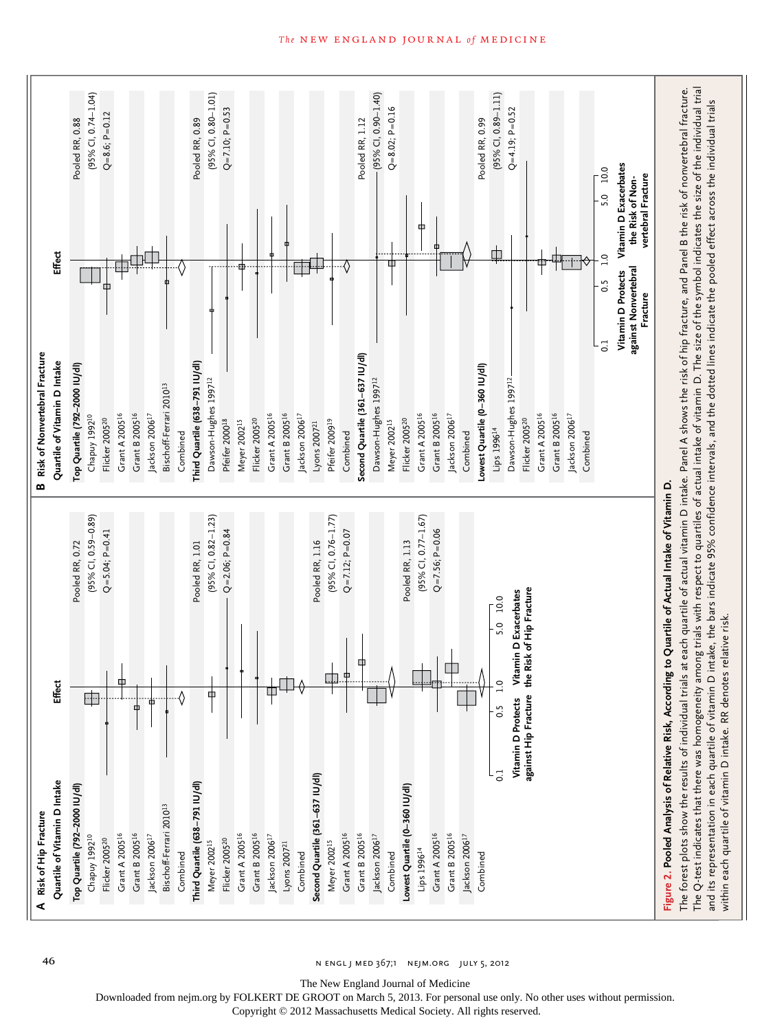

#### 46 **n engl j med 367;1** n engl j med 367;1 nejm.org j 5, 2012

Downloaded from nejm.org by FOLKERT DE GROOT on March 5, 2013. For personal use only. No other uses without permission.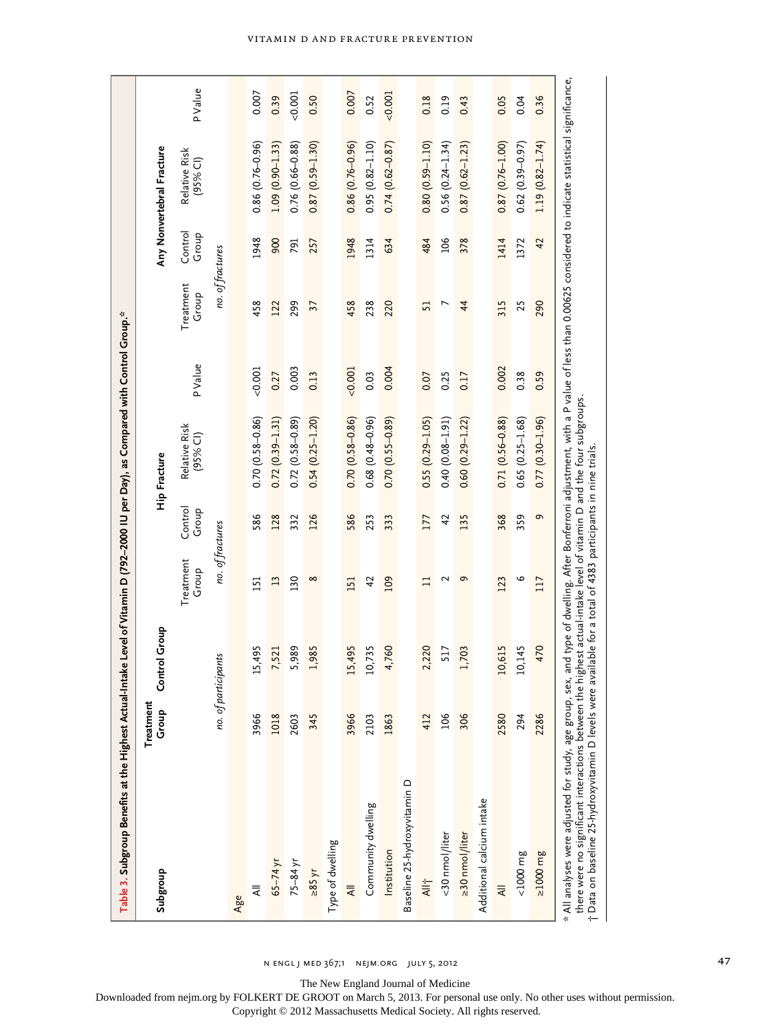| Table 3. Subgroup Benefits at the Highest Actual-Intake Level of Vitamin D (792–2000 IU per Day), as Compared with Control Group.*                                                                                                                                                                          |                    |                                                            |                    |                  |                                                                  |          |                    |                  |                             |         |
|-------------------------------------------------------------------------------------------------------------------------------------------------------------------------------------------------------------------------------------------------------------------------------------------------------------|--------------------|------------------------------------------------------------|--------------------|------------------|------------------------------------------------------------------|----------|--------------------|------------------|-----------------------------|---------|
| Subgroup                                                                                                                                                                                                                                                                                                    | Treatment<br>Group | <b>Control Group</b>                                       |                    |                  | Hip Fracture                                                     |          |                    |                  | Any Nonvertebral Fracture   |         |
|                                                                                                                                                                                                                                                                                                             |                    |                                                            | Treatment<br>Group | Control<br>Group | Relative Risk<br>$(95%$ CI)                                      | P Value  | Treatment<br>Group | Control<br>Group | Relative Risk<br>$(95%$ CI) | P Value |
|                                                                                                                                                                                                                                                                                                             |                    | no. of participants                                        | no. of fractures   |                  |                                                                  |          | no. of fractures   |                  |                             |         |
| Age                                                                                                                                                                                                                                                                                                         |                    |                                                            |                    |                  |                                                                  |          |                    |                  |                             |         |
| ₹                                                                                                                                                                                                                                                                                                           | 3966               | 15,495                                                     | 151                | 586              | $0.70(0.58 - 0.86)$                                              | $-0.001$ | 458                | 1948             | $0.86(0.76 - 0.96)$         | 0.007   |
| $65 - 74$ yr                                                                                                                                                                                                                                                                                                | 1018               | 7,521                                                      | 13                 | 128              | $0.72(0.39 - 1.31)$                                              | 0.27     | 122                | 900              | $1.09(0.90 - 1.33)$         | 0.39    |
| $75-84$ yr                                                                                                                                                                                                                                                                                                  | 2603               | 5,989                                                      | 130                | 332              | $0.72(0.58 - 0.89)$                                              | 0.003    | 299                | 791              | $0.76(0.66 - 0.88)$         | 0.001   |
| >85 yr                                                                                                                                                                                                                                                                                                      | 345                | 1,985                                                      | $\infty$           | 126              | $0.54(0.25 - 1.20)$                                              | 0.13     | 37                 | 257              | $0.87(0.59 - 1.30)$         | 0.50    |
| Type of dwelling                                                                                                                                                                                                                                                                                            |                    |                                                            |                    |                  |                                                                  |          |                    |                  |                             |         |
| ₹                                                                                                                                                                                                                                                                                                           | 3966               | 15,495                                                     | 151                | 586              | $0.70(0.58 - 0.86)$                                              | 0.001    | 458                | 1948             | $0.86(0.76 - 0.96)$         | 0.007   |
| Community dwelling                                                                                                                                                                                                                                                                                          | 2103               | 10,735                                                     | 42                 | 253              | $0.68(0.48-0.96)$                                                | 0.03     | 238                | 1314             | $0.95(0.82 - 1.10)$         | 0.52    |
| Institution                                                                                                                                                                                                                                                                                                 | 1863               | 4,760                                                      | 109                | 333              | $0.70(0.55 - 0.89)$                                              | 0.004    | 220                | 634              | $0.74(0.62 - 0.87)$         | 0.001   |
| Baseline 25-hydroxyvitamin D                                                                                                                                                                                                                                                                                |                    |                                                            |                    |                  |                                                                  |          |                    |                  |                             |         |
| $\frac{1}{4}$                                                                                                                                                                                                                                                                                               | 412                | 2,220                                                      | $\Box$             | 177              | $0.55(0.29 - 1.05)$                                              | 0.07     | 51                 | 484              | $0.80(0.59 - 1.10)$         | 0.18    |
| <30 nmol/liter                                                                                                                                                                                                                                                                                              | 106                | 517                                                        | $\sim$             | 42               | $0.40(0.08 - 1.91)$                                              | 0.25     | $\overline{ }$     | 106              | $0.56(0.24 - 1.34)$         | 0.19    |
| ≥30 nmol/liter                                                                                                                                                                                                                                                                                              | 306                | 1,703                                                      | $\sigma$           | 135              | $0.60(0.29 - 1.22)$                                              | 0.17     | $\overline{4}$     | 378              | $0.87(0.62 - 1.23)$         | 0.43    |
| Additional calcium intake                                                                                                                                                                                                                                                                                   |                    |                                                            |                    |                  |                                                                  |          |                    |                  |                             |         |
| $\equiv$                                                                                                                                                                                                                                                                                                    | 2580               | 10,615                                                     | 123                | 368              | $0.71(0.56 - 0.88)$                                              | 0.002    | 315                | 1414             | $0.87(0.76 - 1.00)$         | 0.05    |
| $5000 \, \text{m}$                                                                                                                                                                                                                                                                                          | 294                | 10,145                                                     | م                  | 359              | $0.65(0.25 - 1.68)$                                              | 0.38     | 25                 | 1372             | $0.62(0.39 - 0.97)$         | 0.04    |
| $\frac{3u}{2000}$                                                                                                                                                                                                                                                                                           | 2286               | 470                                                        | 117                | G                | $0.77(0.30 - 1.96)$                                              | 0.59     | 290                | 42               | $1.19(0.82 - 1.74)$         | 0.36    |
| * All analyses were adjusted for study, age group, sex, and type of dwelling. After Bonferroni adjustment, with a P value of less than 0.00625 considered to indicate statistical significance,<br>there were no significant interactions between the<br>† Data on baseline 25-hydroxyvitamin D levels were |                    | available for a total of 4383 participants in nine trials. |                    |                  | highest actual-intake level of vitamin D and the four subgroups. |          |                    |                  |                             |         |

The New England Journal of Medicine

Downloaded from nejm.org by FOLKERT DE GROOT on March 5, 2013. For personal use only. No other uses without permission. Copyright © 2012 Massachusetts Medical Society. All rights reserved.

VITAMIN D AND FRACTURE PREVENTION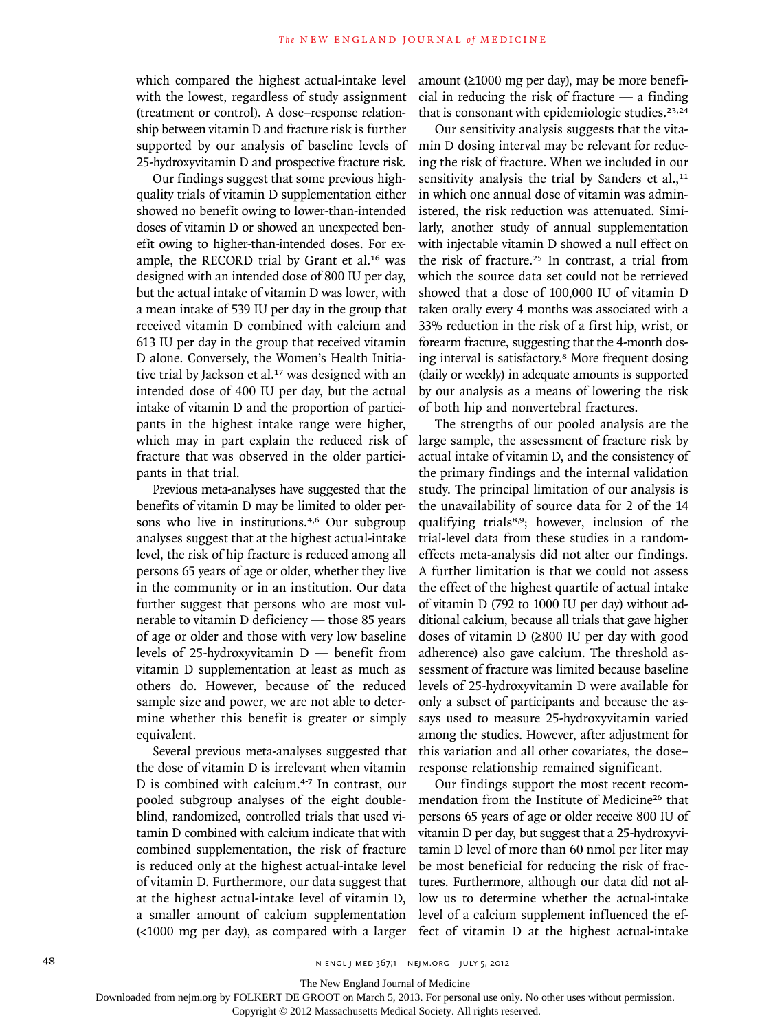which compared the highest actual-intake level with the lowest, regardless of study assignment (treatment or control). A dose–response relationship between vitamin D and fracture risk is further supported by our analysis of baseline levels of 25-hydroxyvitamin D and prospective fracture risk.

Our findings suggest that some previous highquality trials of vitamin D supplementation either showed no benefit owing to lower-than-intended doses of vitamin D or showed an unexpected benefit owing to higher-than-intended doses. For example, the RECORD trial by Grant et al.16 was designed with an intended dose of 800 IU per day, but the actual intake of vitamin D was lower, with a mean intake of 539 IU per day in the group that received vitamin D combined with calcium and 613 IU per day in the group that received vitamin D alone. Conversely, the Women's Health Initiative trial by Jackson et al.<sup>17</sup> was designed with an intended dose of 400 IU per day, but the actual intake of vitamin D and the proportion of participants in the highest intake range were higher, which may in part explain the reduced risk of fracture that was observed in the older participants in that trial.

Previous meta-analyses have suggested that the benefits of vitamin D may be limited to older persons who live in institutions.4,6 Our subgroup analyses suggest that at the highest actual-intake level, the risk of hip fracture is reduced among all persons 65 years of age or older, whether they live in the community or in an institution. Our data further suggest that persons who are most vulnerable to vitamin D deficiency — those 85 years of age or older and those with very low baseline levels of 25-hydroxyvitamin D — benefit from vitamin D supplementation at least as much as others do. However, because of the reduced sample size and power, we are not able to determine whether this benefit is greater or simply equivalent.

Several previous meta-analyses suggested that the dose of vitamin D is irrelevant when vitamin D is combined with calcium.4-7 In contrast, our pooled subgroup analyses of the eight doubleblind, randomized, controlled trials that used vitamin D combined with calcium indicate that with combined supplementation, the risk of fracture is reduced only at the highest actual-intake level of vitamin D. Furthermore, our data suggest that at the highest actual-intake level of vitamin D, a smaller amount of calcium supplementation (<1000 mg per day), as compared with a larger

amount (≥1000 mg per day), may be more beneficial in reducing the risk of fracture  $-$  a finding that is consonant with epidemiologic studies.<sup>23,24</sup>

Our sensitivity analysis suggests that the vitamin D dosing interval may be relevant for reducing the risk of fracture. When we included in our sensitivity analysis the trial by Sanders et  $al.11$ in which one annual dose of vitamin was administered, the risk reduction was attenuated. Similarly, another study of annual supplementation with injectable vitamin D showed a null effect on the risk of fracture.<sup>25</sup> In contrast, a trial from which the source data set could not be retrieved showed that a dose of 100,000 IU of vitamin D taken orally every 4 months was associated with a 33% reduction in the risk of a first hip, wrist, or forearm fracture, suggesting that the 4-month dosing interval is satisfactory.8 More frequent dosing (daily or weekly) in adequate amounts is supported by our analysis as a means of lowering the risk of both hip and nonvertebral fractures.

The strengths of our pooled analysis are the large sample, the assessment of fracture risk by actual intake of vitamin D, and the consistency of the primary findings and the internal validation study. The principal limitation of our analysis is the unavailability of source data for 2 of the 14 qualifying trials<sup>8,9</sup>; however, inclusion of the trial-level data from these studies in a randomeffects meta-analysis did not alter our findings. A further limitation is that we could not assess the effect of the highest quartile of actual intake of vitamin D (792 to 1000 IU per day) without additional calcium, because all trials that gave higher doses of vitamin D (≥800 IU per day with good adherence) also gave calcium. The threshold assessment of fracture was limited because baseline levels of 25-hydroxyvitamin D were available for only a subset of participants and because the assays used to measure 25-hydroxyvitamin varied among the studies. However, after adjustment for this variation and all other covariates, the dose– response relationship remained significant.

Our findings support the most recent recommendation from the Institute of Medicine<sup>26</sup> that persons 65 years of age or older receive 800 IU of vitamin D per day, but suggest that a 25-hydroxyvitamin D level of more than 60 nmol per liter may be most beneficial for reducing the risk of fractures. Furthermore, although our data did not allow us to determine whether the actual-intake level of a calcium supplement influenced the effect of vitamin D at the highest actual-intake

The New England Journal of Medicine